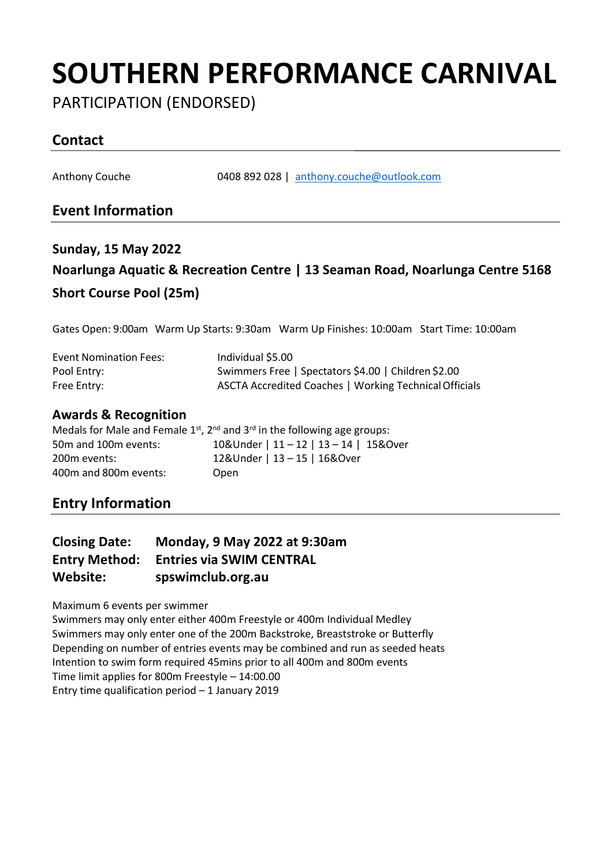# **SOUTHERN PERFORMANCE CARNIVAL**

PARTICIPATION (ENDORSED)

## **Contact**

Anthony Couche 0408 892 028 | [anthony.couche@outlook.com](mailto:anthony.couche@outlook.com)

### **Event Information**

## **Sunday, 15 May 2022 Noarlunga Aquatic & Recreation Centre | 13 Seaman Road, Noarlunga Centre 5168 Short Course Pool (25m)**

Gates Open: 9:00am Warm Up Starts: 9:30am Warm Up Finishes: 10:00am Start Time: 10:00am

| <b>Event Nomination Fees:</b> | Individual \$5.00                                      |
|-------------------------------|--------------------------------------------------------|
| Pool Entry:                   | Swimmers Free   Spectators \$4.00   Children \$2.00    |
| Free Entry:                   | ASCTA Accredited Coaches   Working Technical Officials |

#### **Awards & Recognition**

|                       | Medals for Male and Female $1^{st}$ , $2^{nd}$ and $3^{rd}$ in the following age groups: |
|-----------------------|------------------------------------------------------------------------------------------|
| 50m and 100m events:  | 10&Under   11 - 12   13 - 14   15&Over                                                   |
| 200m events:          | 12&Under   13 - 15   16&Over                                                             |
| 400m and 800m events: | Open                                                                                     |

### **Entry Information**

| <b>Closing Date:</b> | Monday, 9 May 2022 at 9:30am    |
|----------------------|---------------------------------|
| <b>Entry Method:</b> | <b>Entries via SWIM CENTRAL</b> |
| Website:             | spswimclub.org.au               |

Maximum 6 events per swimmer

Swimmers may only enter either 400m Freestyle or 400m Individual Medley Swimmers may only enter one of the 200m Backstroke, Breaststroke or Butterfly Depending on number of entries events may be combined and run as seeded heats Intention to swim form required 45mins prior to all 400m and 800m events Time limit applies for 800m Freestyle – 14:00.00 Entry time qualification period – 1 January 2019